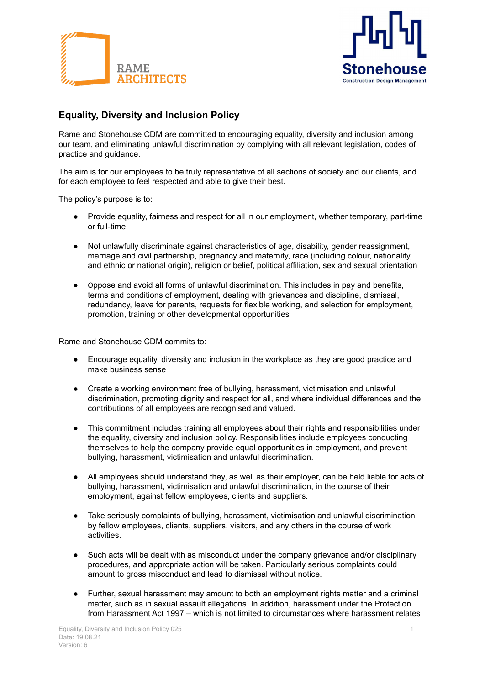



## **Equality, Diversity and Inclusion Policy**

Rame and Stonehouse CDM are committed to encouraging equality, diversity and inclusion among our team, and eliminating unlawful discrimination by complying with all relevant legislation, codes of practice and guidance.

The aim is for our employees to be truly representative of all sections of society and our clients, and for each employee to feel respected and able to give their best.

The policy's purpose is to:

- Provide equality, fairness and respect for all in our employment, whether temporary, part-time or full-time
- Not unlawfully discriminate against characteristics of age, disability, gender reassignment, marriage and civil partnership, pregnancy and maternity, race (including colour, nationality, and ethnic or national origin), religion or belief, political affiliation, sex and sexual orientation
- Oppose and avoid all forms of unlawful discrimination. This includes in pay and benefits, terms and conditions of employment, dealing with grievances and discipline, dismissal, redundancy, leave for parents, requests for flexible working, and selection for employment, promotion, training or other developmental opportunities

Rame and Stonehouse CDM commits to:

- Encourage equality, diversity and inclusion in the workplace as they are good practice and make business sense
- Create a working environment free of bullying, harassment, victimisation and unlawful discrimination, promoting dignity and respect for all, and where individual differences and the contributions of all employees are recognised and valued.
- This commitment includes training all employees about their rights and responsibilities under the equality, diversity and inclusion policy. Responsibilities include employees conducting themselves to help the company provide equal opportunities in employment, and prevent bullying, harassment, victimisation and unlawful discrimination.
- All employees should understand they, as well as their employer, can be held liable for acts of bullying, harassment, victimisation and unlawful discrimination, in the course of their employment, against fellow employees, clients and suppliers.
- Take seriously complaints of bullying, harassment, victimisation and unlawful discrimination by fellow employees, clients, suppliers, visitors, and any others in the course of work activities.
- Such acts will be dealt with as misconduct under the company grievance and/or disciplinary procedures, and appropriate action will be taken. Particularly serious complaints could amount to gross misconduct and lead to dismissal without notice.
- Further, sexual harassment may amount to both an employment rights matter and a criminal matter, such as in sexual assault allegations. In addition, harassment under the Protection from Harassment Act 1997 – which is not limited to circumstances where harassment relates